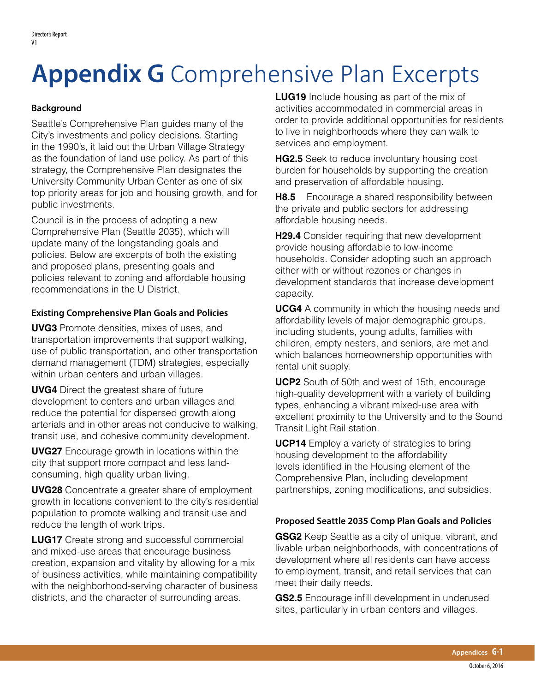## **Appendix G** Comprehensive Plan Excerpts

## **Background**

Seattle's Comprehensive Plan guides many of the City's investments and policy decisions. Starting in the 1990's, it laid out the Urban Village Strategy as the foundation of land use policy. As part of this strategy, the Comprehensive Plan designates the University Community Urban Center as one of six top priority areas for job and housing growth, and for public investments.

Council is in the process of adopting a new Comprehensive Plan (Seattle 2035), which will update many of the longstanding goals and policies. Below are excerpts of both the existing and proposed plans, presenting goals and policies relevant to zoning and affordable housing recommendations in the U District.

## **Existing Comprehensive Plan Goals and Policies**

**UVG3** Promote densities, mixes of uses, and transportation improvements that support walking, use of public transportation, and other transportation demand management (TDM) strategies, especially within urban centers and urban villages.

**UVG4** Direct the greatest share of future development to centers and urban villages and reduce the potential for dispersed growth along arterials and in other areas not conducive to walking, transit use, and cohesive community development.

**UVG27** Encourage growth in locations within the city that support more compact and less landconsuming, high quality urban living.

**UVG28** Concentrate a greater share of employment growth in locations convenient to the city's residential population to promote walking and transit use and reduce the length of work trips.

**LUG17** Create strong and successful commercial and mixed-use areas that encourage business creation, expansion and vitality by allowing for a mix of business activities, while maintaining compatibility with the neighborhood-serving character of business districts, and the character of surrounding areas.

**LUG19** Include housing as part of the mix of activities accommodated in commercial areas in order to provide additional opportunities for residents to live in neighborhoods where they can walk to services and employment.

**HG2.5** Seek to reduce involuntary housing cost burden for households by supporting the creation and preservation of affordable housing.

**H8.5** Encourage a shared responsibility between the private and public sectors for addressing affordable housing needs.

**H29.4** Consider requiring that new development provide housing affordable to low-income households. Consider adopting such an approach either with or without rezones or changes in development standards that increase development capacity.

**UCG4** A community in which the housing needs and affordability levels of major demographic groups, including students, young adults, families with children, empty nesters, and seniors, are met and which balances homeownership opportunities with rental unit supply.

**UCP2** South of 50th and west of 15th, encourage high-quality development with a variety of building types, enhancing a vibrant mixed-use area with excellent proximity to the University and to the Sound Transit Light Rail station.

**UCP14** Employ a variety of strategies to bring housing development to the affordability levels identified in the Housing element of the Comprehensive Plan, including development partnerships, zoning modifications, and subsidies.

## **Proposed Seattle 2035 Comp Plan Goals and Policies**

**GSG2** Keep Seattle as a city of unique, vibrant, and livable urban neighborhoods, with concentrations of development where all residents can have access to employment, transit, and retail services that can meet their daily needs.

**GS2.5** Encourage infill development in underused sites, particularly in urban centers and villages.